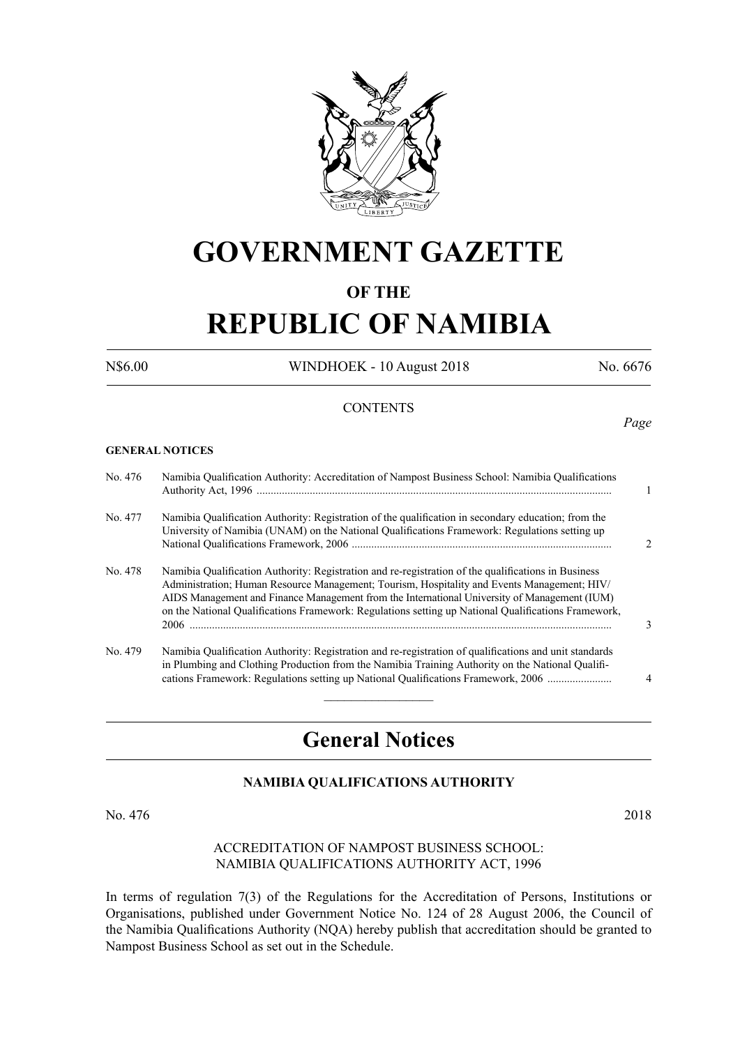

# **GOVERNMENT GAZETTE**

## **OF THE**

# **REPUBLIC OF NAMIBIA**

N\$6.00 WINDHOEK - 10 August 2018 No. 6676

*Page*

#### **CONTENTS**

#### **GENERAL NOTICES**

| No. 476 | Namibia Qualification Authority: Accreditation of Nampost Business School: Namibia Qualifications                                                                                                                                                                                                                                                                                                         |               |
|---------|-----------------------------------------------------------------------------------------------------------------------------------------------------------------------------------------------------------------------------------------------------------------------------------------------------------------------------------------------------------------------------------------------------------|---------------|
| No. 477 | Namibia Qualification Authority: Registration of the qualification in secondary education; from the<br>University of Namibia (UNAM) on the National Qualifications Framework: Regulations setting up                                                                                                                                                                                                      | $\mathcal{D}$ |
| No. 478 | Namibia Qualification Authority: Registration and re-registration of the qualifications in Business<br>Administration; Human Resource Management; Tourism, Hospitality and Events Management; HIV/<br>AIDS Management and Finance Management from the International University of Management (IUM)<br>on the National Qualifications Framework: Regulations setting up National Qualifications Framework, | 3             |
| No. 479 | Namibia Qualification Authority: Registration and re-registration of qualifications and unit standards<br>in Plumbing and Clothing Production from the Namibia Training Authority on the National Qualifi-<br>cations Framework: Regulations setting up National Qualifications Framework, 2006                                                                                                           | 4             |
|         |                                                                                                                                                                                                                                                                                                                                                                                                           |               |

# **General Notices**

### **NAMIBIA QUALIFICATIONS AUTHORITY**

No. 476 2018

#### Accreditation of Nampost Business School: Namibia Qualifications Authority Act, 1996

In terms of regulation 7(3) of the Regulations for the Accreditation of Persons, Institutions or Organisations, published under Government Notice No. 124 of 28 August 2006, the Council of the Namibia Qualifications Authority (NQA) hereby publish that accreditation should be granted to Nampost Business School as set out in the Schedule.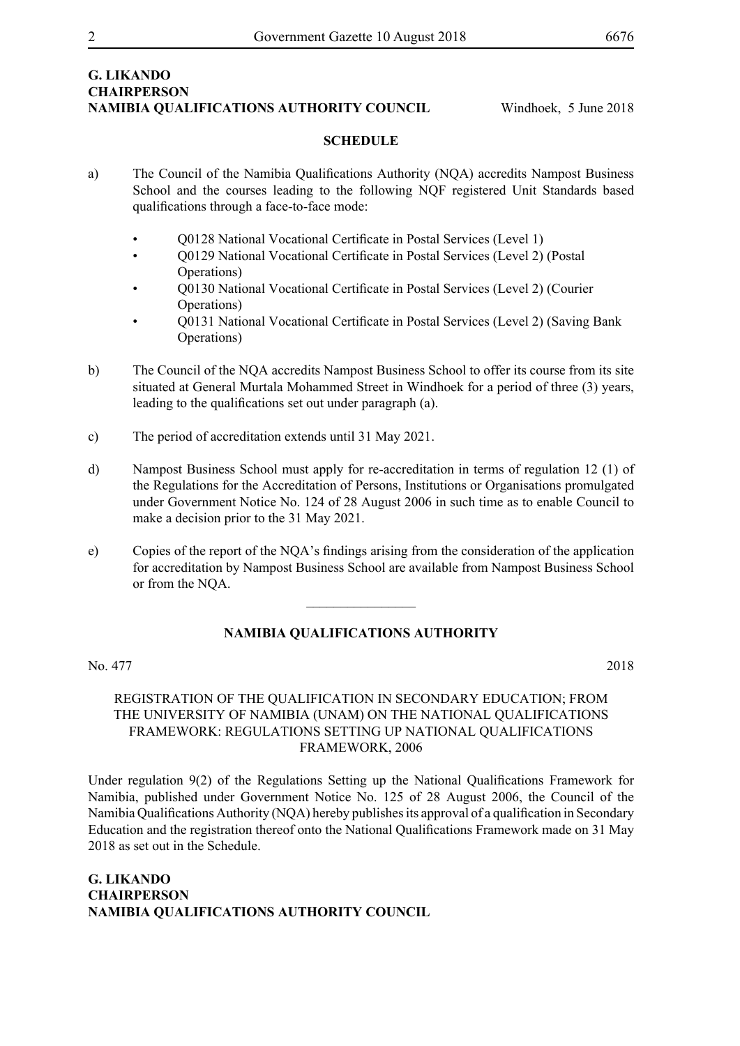### **G. Likando Chairperson NAMIBIA QUALIFICATIONS AUTHORITY COUNCIL** Windhoek, 5 June 2018

#### **SCHEDULE**

- a) The Council of the Namibia Qualifications Authority (NQA) accredits Nampost Business School and the courses leading to the following NQF registered Unit Standards based qualifications through a face-to-face mode:
	- Q0128 National Vocational Certificate in Postal Services (Level 1)
	- Q0129 National Vocational Certificate in Postal Services (Level 2) (Postal Operations)
	- Q0130 National Vocational Certificate in Postal Services (Level 2) (Courier Operations)
	- Q0131 National Vocational Certificate in Postal Services (Level 2) (Saving Bank Operations)
- b) The Council of the NQA accredits Nampost Business School to offer its course from its site situated at General Murtala Mohammed Street in Windhoek for a period of three (3) years, leading to the qualifications set out under paragraph (a).
- c) The period of accreditation extends until 31 May 2021.
- d) Nampost Business School must apply for re-accreditation in terms of regulation 12 (1) of the Regulations for the Accreditation of Persons, Institutions or Organisations promulgated under Government Notice No. 124 of 28 August 2006 in such time as to enable Council to make a decision prior to the 31 May 2021.
- e) Copies of the report of the NQA's findings arising from the consideration of the application for accreditation by Nampost Business School are available from Nampost Business School or from the NQA.

 $\overline{\phantom{a}}$  , where  $\overline{\phantom{a}}$ 

#### **NAMIBIA QUALIFICATIONS AUTHORITY**

No. 477 2018

#### REGISTRATION OF THE QUALIFICATION IN SECONDARY EDUCATION; FROM THE UNIVERSITY OF NAMIBIA (UNAM) ON THE NATIONAL QUALIFICATIONS FRAMEWORK: REGULATIONS SETTING UP NATIONAL QUALIFICATIONS FRAMEWORK, 2006

Under regulation 9(2) of the Regulations Setting up the National Qualifications Framework for Namibia, published under Government Notice No. 125 of 28 August 2006, the Council of the Namibia Qualifications Authority (NQA) hereby publishes its approval of a qualification in Secondary Education and the registration thereof onto the National Qualifications Framework made on 31 May 2018 as set out in the Schedule.

**G. Likando Chairperson NAMIBIA QUALIFICATIONS AUTHORITY Council**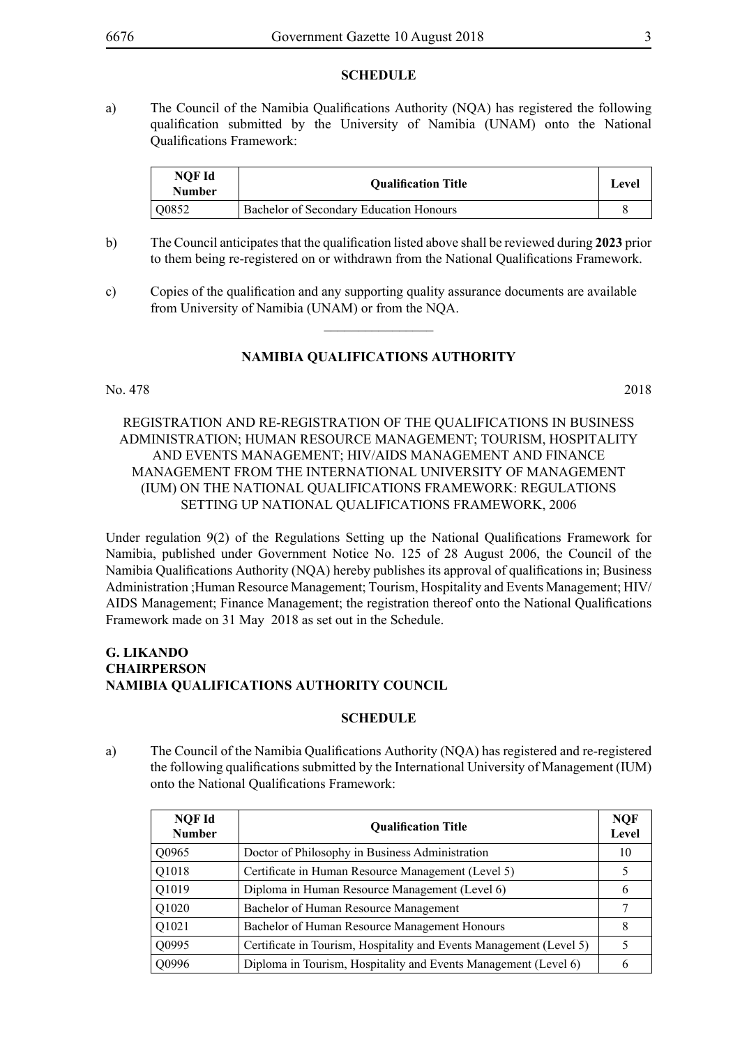#### **SCHEDULE**

a) The Council of the Namibia Qualifications Authority (NQA) has registered the following qualification submitted by the University of Namibia (UNAM) onto the National Qualifications Framework:

| NOF Id<br><b>Number</b> | <b>Oualification Title</b>              | Level |
|-------------------------|-----------------------------------------|-------|
| Q0852                   | Bachelor of Secondary Education Honours |       |

- b) The Council anticipates that the qualification listed above shall be reviewed during **2023** prior to them being re-registered on or withdrawn from the National Qualifications Framework.
- c) Copies of the qualification and any supporting quality assurance documents are available from University of Namibia (UNAM) or from the NQA.

#### **NAMIBIA QUALIFICATIONS AUTHORITY**

 $\overline{\phantom{a}}$  , where  $\overline{\phantom{a}}$ 

#### No. 478 2018

#### REGISTRATION AND RE-REGISTRATION OF THE QUALIFICATIONS IN BUSINESS ADMINISTRATION; HUMAN RESOURCE MANAGEMENT; TOURISM, HOSPITALITY AND EVENTS MANAGEMENT; HIV/AIDS MANAGEMENT AND FINANCE MANAGEMENT FROM THE INTERNATIONAL UNIVERSITY OF MANAGEMENT (IUM) ON THE NATIONAL QUALIFICATIONS FRAMEWORK: REGULATIONS SETTING UP NATIONAL QUALIFICATIONS FRAMEWORK, 2006

Under regulation 9(2) of the Regulations Setting up the National Qualifications Framework for Namibia, published under Government Notice No. 125 of 28 August 2006, the Council of the Namibia Qualifications Authority (NQA) hereby publishes its approval of qualifications in; Business Administration ;Human Resource Management; Tourism, Hospitality and Events Management; HIV/ AIDS Management; Finance Management; the registration thereof onto the National Qualifications Framework made on 31 May 2018 as set out in the Schedule.

#### **G. Likando Chairperson NAMIBIA QUALIFICATIONS AUTHORITY Council**

#### **SCHEDULE**

a) The Council of the Namibia Qualifications Authority (NQA) has registered and re-registered the following qualifications submitted by the International University of Management (IUM) onto the National Qualifications Framework:

| NQF Id<br><b>Number</b> | <b>Oualification Title</b>                                          | <b>NQF</b><br>Level |
|-------------------------|---------------------------------------------------------------------|---------------------|
| Q0965                   | Doctor of Philosophy in Business Administration                     | 10                  |
| Q1018                   | Certificate in Human Resource Management (Level 5)                  |                     |
| Q1019                   | Diploma in Human Resource Management (Level 6)                      | 6                   |
| Q1020                   | Bachelor of Human Resource Management                               | 7                   |
| Q1021                   | Bachelor of Human Resource Management Honours                       | 8                   |
| Q0995                   | Certificate in Tourism, Hospitality and Events Management (Level 5) |                     |
| Q0996                   | Diploma in Tourism, Hospitality and Events Management (Level 6)     | b                   |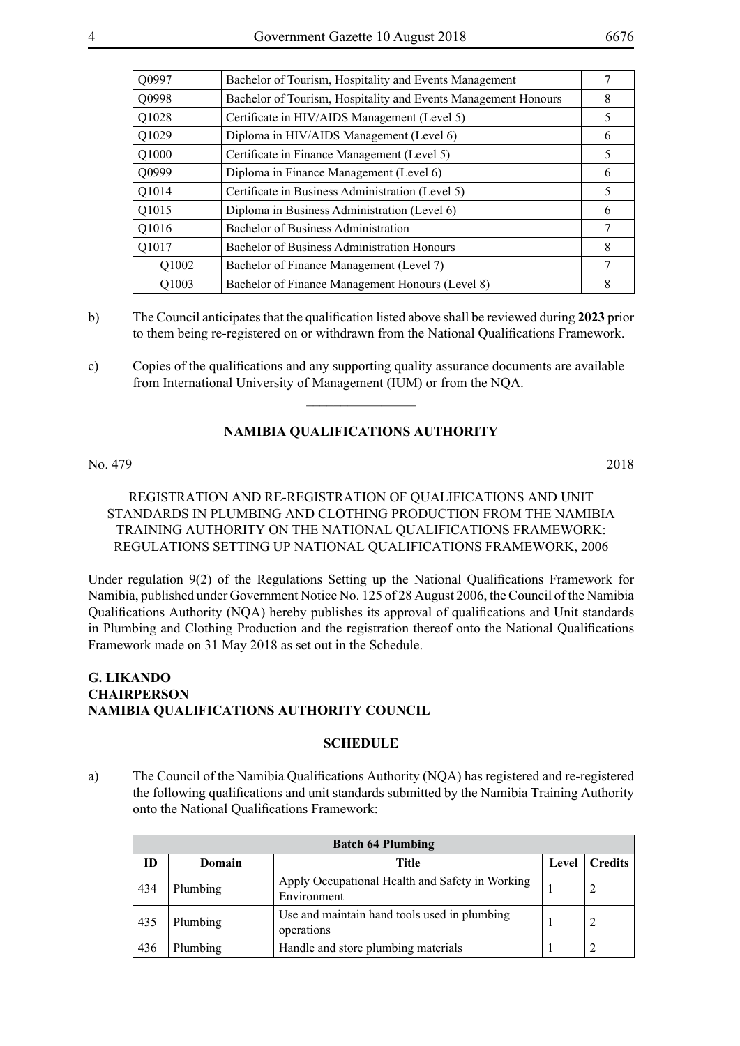| Q0997 | Bachelor of Tourism, Hospitality and Events Management         |   |
|-------|----------------------------------------------------------------|---|
| Q0998 | Bachelor of Tourism, Hospitality and Events Management Honours | 8 |
| Q1028 | Certificate in HIV/AIDS Management (Level 5)                   | 5 |
| Q1029 | Diploma in HIV/AIDS Management (Level 6)                       | 6 |
| Q1000 | Certificate in Finance Management (Level 5)                    | 5 |
| Q0999 | Diploma in Finance Management (Level 6)                        | 6 |
| Q1014 | Certificate in Business Administration (Level 5)               | 5 |
| Q1015 | Diploma in Business Administration (Level 6)                   | 6 |
| Q1016 | <b>Bachelor of Business Administration</b>                     |   |
| Q1017 | Bachelor of Business Administration Honours                    | 8 |
| Q1002 | Bachelor of Finance Management (Level 7)                       |   |
| Q1003 | Bachelor of Finance Management Honours (Level 8)               | 8 |

- b) The Council anticipates that the qualification listed above shall be reviewed during **2023** prior to them being re-registered on or withdrawn from the National Qualifications Framework.
- c) Copies of the qualifications and any supporting quality assurance documents are available from International University of Management (IUM) or from the NQA.

#### **NAMIBIA QUALIFICATIONS AUTHORITY**

 $\overline{\phantom{a}}$  , where  $\overline{\phantom{a}}$ 

#### No. 479 2018

#### REGISTRATION AND RE-REGISTRATION OF QUALIFICATIONS AND UNIT STANDARDS IN PLUMBING AND CLOTHING PRODUCTION FROM THE NAMIBIA TRAINING AUTHORITY ON THE NATIONAL QUALIFICATIONS FRAMEWORK: REGULATIONS SETTING UP NATIONAL QUALIFICATIONS FRAMEWORK, 2006

Under regulation 9(2) of the Regulations Setting up the National Qualifications Framework for Namibia, published under Government Notice No. 125 of 28 August 2006, the Council of the Namibia Qualifications Authority (NQA) hereby publishes its approval of qualifications and Unit standards in Plumbing and Clothing Production and the registration thereof onto the National Qualifications Framework made on 31 May 2018 as set out in the Schedule.

#### **G. Likando Chairperson NAMIBIA QUALIFICATIONS AUTHORITY Council**

#### **SCHEDULE**

a) The Council of the Namibia Qualifications Authority (NQA) has registered and re-registered the following qualifications and unit standards submitted by the Namibia Training Authority onto the National Qualifications Framework:

| <b>Batch 64 Plumbing</b> |               |                                                                |       |                |
|--------------------------|---------------|----------------------------------------------------------------|-------|----------------|
| ID                       | <b>Domain</b> | Title                                                          | Level | <b>Credits</b> |
| 434                      | Plumbing      | Apply Occupational Health and Safety in Working<br>Environment |       |                |
| 435                      | Plumbing      | Use and maintain hand tools used in plumbing<br>operations     |       |                |
| 436                      | Plumbing      | Handle and store plumbing materials                            |       |                |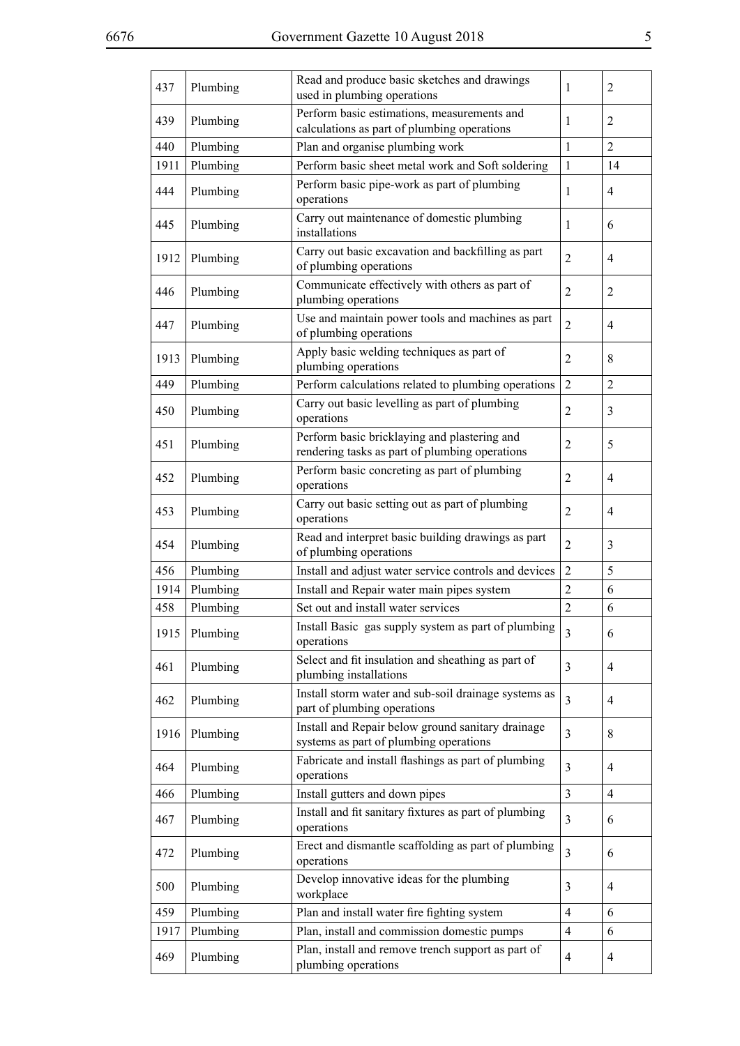| 437  | Plumbing | Read and produce basic sketches and drawings<br>used in plumbing operations                    | $\mathbf{1}$   | $\overline{2}$ |
|------|----------|------------------------------------------------------------------------------------------------|----------------|----------------|
| 439  | Plumbing | Perform basic estimations, measurements and<br>calculations as part of plumbing operations     | 1              | 2              |
| 440  | Plumbing | Plan and organise plumbing work                                                                | $\mathbf{1}$   | $\overline{2}$ |
| 1911 | Plumbing | Perform basic sheet metal work and Soft soldering                                              | $\mathbf{1}$   | 14             |
| 444  | Plumbing | Perform basic pipe-work as part of plumbing<br>operations                                      | $\mathbf{1}$   | $\overline{4}$ |
| 445  | Plumbing | Carry out maintenance of domestic plumbing<br>installations                                    | 1              | 6              |
| 1912 | Plumbing | Carry out basic excavation and backfilling as part<br>of plumbing operations                   | $\overline{2}$ | $\overline{4}$ |
| 446  | Plumbing | Communicate effectively with others as part of<br>plumbing operations                          | $\overline{2}$ | $\overline{2}$ |
| 447  | Plumbing | Use and maintain power tools and machines as part<br>of plumbing operations                    | $\overline{2}$ | $\overline{4}$ |
| 1913 | Plumbing | Apply basic welding techniques as part of<br>plumbing operations                               | $\overline{2}$ | 8              |
| 449  | Plumbing | Perform calculations related to plumbing operations                                            | $\overline{2}$ | $\overline{2}$ |
| 450  | Plumbing | Carry out basic levelling as part of plumbing<br>operations                                    | 2              | 3              |
| 451  | Plumbing | Perform basic bricklaying and plastering and<br>rendering tasks as part of plumbing operations | $\overline{2}$ | 5              |
| 452  | Plumbing | Perform basic concreting as part of plumbing<br>operations                                     | $\overline{2}$ | $\overline{4}$ |
| 453  | Plumbing | Carry out basic setting out as part of plumbing<br>operations                                  | $\overline{2}$ | $\overline{4}$ |
| 454  | Plumbing | Read and interpret basic building drawings as part<br>of plumbing operations                   | $\overline{2}$ | 3              |
| 456  | Plumbing | Install and adjust water service controls and devices                                          | $\overline{2}$ | 5              |
| 1914 | Plumbing | Install and Repair water main pipes system                                                     | $\overline{2}$ | 6              |
| 458  | Plumbing | Set out and install water services                                                             | $\overline{2}$ | 6              |
| 1915 | Plumbing | Install Basic gas supply system as part of plumbing<br>operations                              | $\overline{3}$ | 6              |
| 461  | Plumbing | Select and fit insulation and sheathing as part of<br>plumbing installations                   | $\mathfrak{Z}$ | $\overline{4}$ |
| 462  | Plumbing | Install storm water and sub-soil drainage systems as<br>part of plumbing operations            | $\overline{3}$ | $\overline{4}$ |
| 1916 | Plumbing | Install and Repair below ground sanitary drainage<br>systems as part of plumbing operations    | $\overline{3}$ | 8              |
| 464  | Plumbing | Fabricate and install flashings as part of plumbing<br>operations                              | 3              | $\overline{4}$ |
| 466  | Plumbing | Install gutters and down pipes                                                                 | $\mathfrak{Z}$ | $\overline{4}$ |
| 467  | Plumbing | Install and fit sanitary fixtures as part of plumbing<br>operations                            | 3              | 6              |
| 472  | Plumbing | Erect and dismantle scaffolding as part of plumbing<br>operations                              | $\overline{3}$ | 6              |
| 500  | Plumbing | Develop innovative ideas for the plumbing<br>workplace                                         | 3              | $\overline{4}$ |
| 459  | Plumbing | Plan and install water fire fighting system                                                    | $\overline{4}$ | 6              |
| 1917 | Plumbing | Plan, install and commission domestic pumps                                                    | $\overline{4}$ | 6              |
| 469  | Plumbing | Plan, install and remove trench support as part of<br>plumbing operations                      | $\overline{4}$ | $\overline{4}$ |